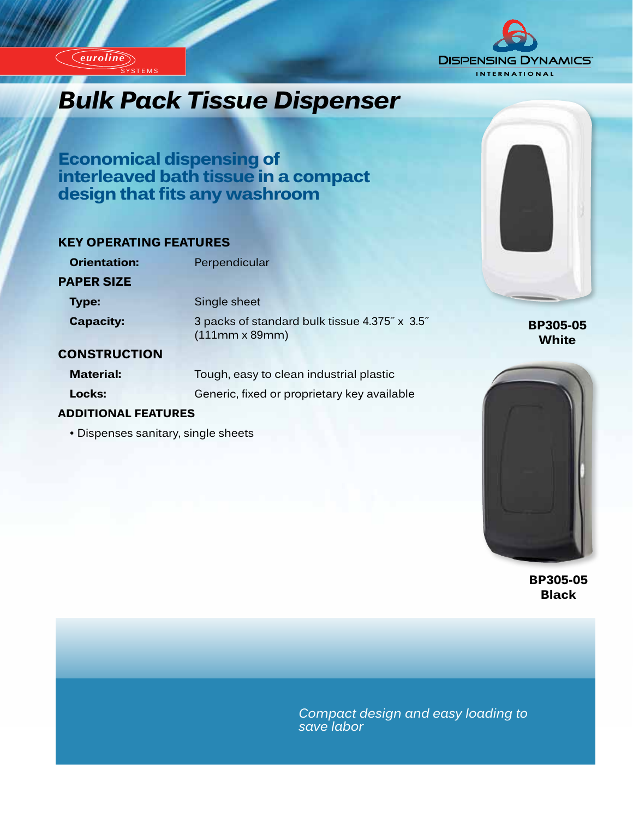

# *Innovation...Design...Design...Design...***bulk Pack Tissue Dispenser**

**Economical dispensing of interleaved bath tissue in a compact design that fits any washroom** 

#### **KEY OPERATING FEATURES**

**SYSTEMS** 

| <b>Orientation:</b> | Perpendicular                                                          |  |
|---------------------|------------------------------------------------------------------------|--|
| <b>PAPER SIZE</b>   |                                                                        |  |
| <b>Type:</b>        | Single sheet                                                           |  |
| <b>Capacity:</b>    | 3 packs of standard bulk tissue 4.375" x 3.5"<br>$(111mm \times 89mm)$ |  |

#### **CONSTRUCTION**

*euroline*

*euroline*

**Material:** Tough, easy to clean industrial plastic **Locks:** Generic, fixed or proprietary key available

#### **ADDITIONAL FEATURES**

• Dispenses sanitary, single sheets



**BP305-05 White**



**BP305-05 Black**

*Compact design and easy loading to save labor*